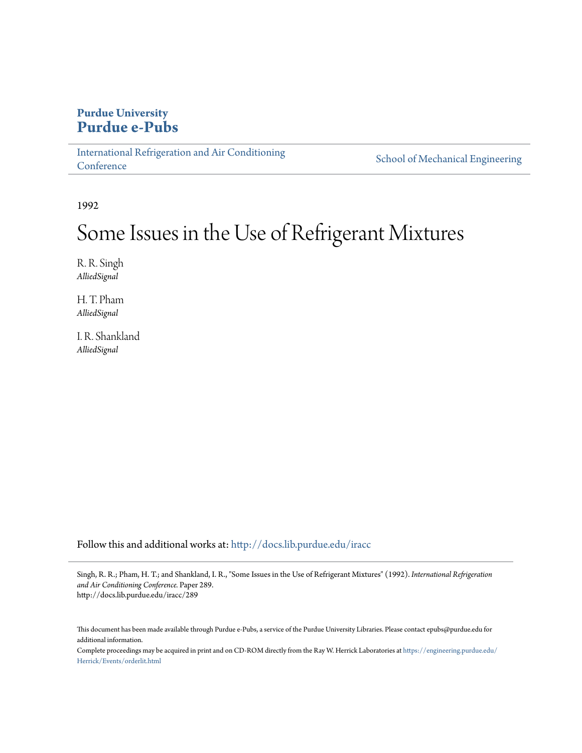# **Purdue University [Purdue e-Pubs](http://docs.lib.purdue.edu?utm_source=docs.lib.purdue.edu%2Firacc%2F289&utm_medium=PDF&utm_campaign=PDFCoverPages)**

[International Refrigeration and Air Conditioning](http://docs.lib.purdue.edu/iracc?utm_source=docs.lib.purdue.edu%2Firacc%2F289&utm_medium=PDF&utm_campaign=PDFCoverPages) **[Conference](http://docs.lib.purdue.edu/iracc?utm_source=docs.lib.purdue.edu%2Firacc%2F289&utm_medium=PDF&utm_campaign=PDFCoverPages)** 

[School of Mechanical Engineering](http://docs.lib.purdue.edu/me?utm_source=docs.lib.purdue.edu%2Firacc%2F289&utm_medium=PDF&utm_campaign=PDFCoverPages)

1992

# Some Issues in the Use of Refrigerant Mixtures

R. R. Singh *AlliedSignal*

H. T. Pham *AlliedSignal*

I. R. Shankland *AlliedSignal*

Follow this and additional works at: [http://docs.lib.purdue.edu/iracc](http://docs.lib.purdue.edu/iracc?utm_source=docs.lib.purdue.edu%2Firacc%2F289&utm_medium=PDF&utm_campaign=PDFCoverPages)

Singh, R. R.; Pham, H. T.; and Shankland, I. R., "Some Issues in the Use of Refrigerant Mixtures" (1992). *International Refrigeration and Air Conditioning Conference.* Paper 289. http://docs.lib.purdue.edu/iracc/289

This document has been made available through Purdue e-Pubs, a service of the Purdue University Libraries. Please contact epubs@purdue.edu for additional information.

Complete proceedings may be acquired in print and on CD-ROM directly from the Ray W. Herrick Laboratories at [https://engineering.purdue.edu/](https://engineering.purdue.edu/Herrick/Events/orderlit.html) [Herrick/Events/orderlit.html](https://engineering.purdue.edu/Herrick/Events/orderlit.html)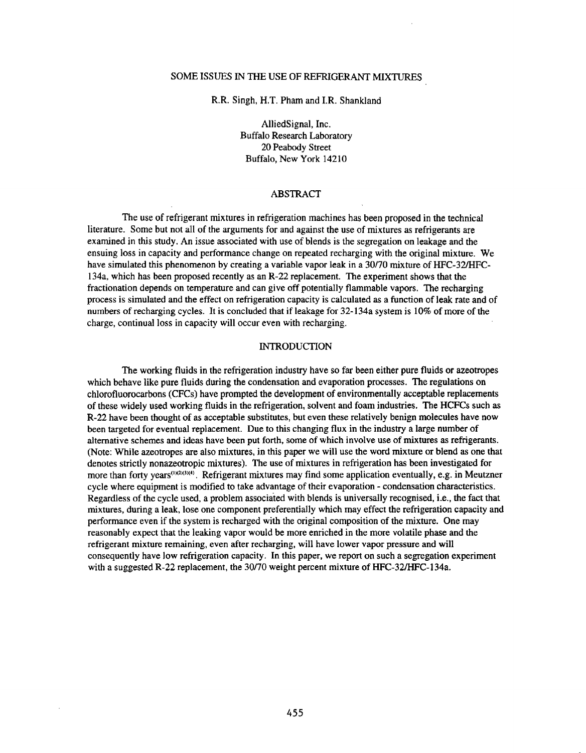# SOME ISSUES IN THE USE OF REFRIGERANT MIXTURES

R.R. Singh, H.T. Pham and I.R. Shankland

AlliedSignal, Inc. Buffalo Research Laboratory 20 Peabody Street Buffalo, New York 14210

# ABSTRACT

The use of refrigerant mixtures in refrigeration machines has been proposed in the technical literature. Some but not all of the arguments for and against the use of mixtures as refrigerants are examined in this study. An issue associated with use of blends is the segregation on leakage and the ensuing loss in capacity and performance change on repeated recharging with the original mixture. We have simulated this phenomenon by creating a variable vapor leak in a 30170 mixture of HFC-32/HFC-134a, which has been proposed recently as an R-22 replacement. The experiment shows that the fractionation depends on temperature and can give off potentially flammable vapors. The recharging process is simulated and the effect on refrigeration capacity is calculated as a function of leak rate and of numbers of recharging cycles. It is concluded that if leakage for 32-134a system is 10% of more of the charge, continual loss in capacity will occur even with recharging.

#### INTRODUCTION

The working fluids in the refrigeration industry have so far been either pure fluids or azeotropes which behave like pure fluids during the condensation and evaporation processes. The regulations on chlorofluorocarbons (CFCs) have prompted the development of environmentally acceptable replacements of these widely used working fluids in the refrigeration, solvent and foam industries. The HCFCs such as R-22 have been thought of as acceptable substitutes, but even these relatively benign molecules have now been targeted for eventual replacement. Due to this changing flux in the industry a large number of alternative schemes and ideas have been put forth, some of which involve use of mixtures as refrigerants. (Note: While azeotropes are also mixtures, in this paper we will use the word mixture or blend as one that denotes strictly nonazeotropic mixtures). The use of mixtures in refrigeration has been investigated for more than forty years<sup>(1)(2)(3)(4)</sup>. Refrigerant mixtures may find some application eventually, e.g. in Meutzner cycle where equipment is modified to take advantage of their evaporation - condensation characteristics. Regardless of the cycle used, a problem associated with blends is universally recognised, i.e., the fact that mixtures, during a leak, lose one component preferentially which may effect the refrigeration capacity and performance even if the system is recharged with the original composition of the mixture. One may reasonably expect that the leaking vapor would be more enriched in the more volatile phase and the refrigerant mixture remaining, even after recharging, will have lower vapor pressure and will consequently have low refrigeration capacity. In this paper, we report on such a segregation experiment with a suggested R-22 replacement, the 30/70 weight percent mixture of HFC-32/HFC-134a.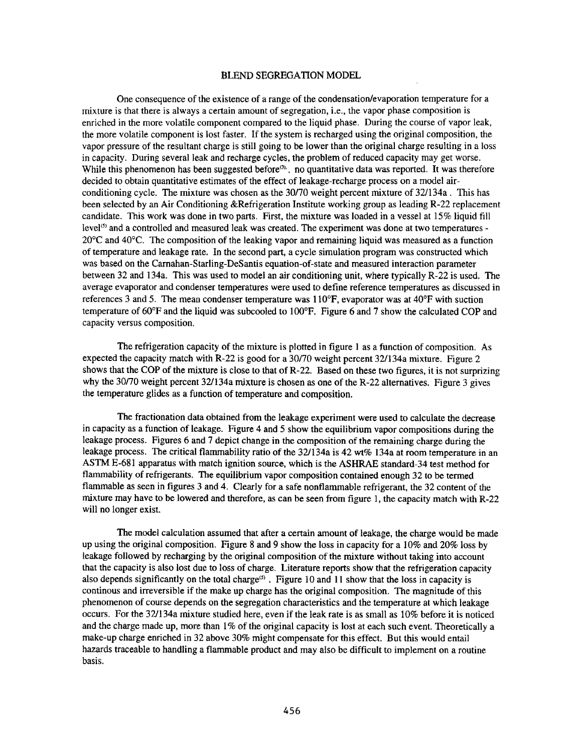# BLEND SEGREGATION MODEL

One consequence of the existence of a range of the condensation/evaporation temperature for a mixture is that there is always a certain amount of segregation, i.e., the vapor phase composition is enriched in the more volatile component compared to the liquid phase. During the course of vapor leak, the more volatile component is lost faster. If the system is recharged using the original composition, the vapor pressure of the resultant charge is still going to be lower than the original charge resulting in a loss in capacity. During several leak and recharge cycles, the problem of reduced capacity may get worse. While this phenomenon has been suggested before<sup>33</sup>, no quantitative data was reported. It was therefore decided to obtain quantitative estimates of the effect of leakage~recharge process on a model airconditioning cycle. The mixture was chosen as the 30170 weight percent mixture of 32/134a. This has been selected by an Air Conditioning &Refrigeration Institute working group as leading R-22 replacement candidate. This work was done in two parts. First, the mixture was loaded in a vessel at 15% liquid fill level<sup>(5)</sup> and a controlled and measured leak was created. The experiment was done at two temperatures -20°C and 40°C. The composition of the leaking vapor and remaining liquid was measured as a function of temperature and leakage rate. In the second part, a cycle simulation program was constructed which was based on the Carnahan-Starling-DeSantis equation-of-state and measured interaction parameter between 32 and 134a. This was used to model an air conditioning unit, where typically R-22 is used. The average evaporator and condenser temperatures were used to define reference temperatures as discussed in references 3 and 5. The mean condenser temperature was  $110^{\circ}$ F, evaporator was at 40°F with suction temperature of 60°F and the liquid was subcooled to 100°F. Figure 6 and 7 show the calculated COP and capacity versus composition.

The refrigeration capacity of the mixture is plotted in figure I as a function of composition. As expected the capacity match with R-22 is good for a 30170 weight percent 32/I34a mixture. Figure 2 shows that the COP of the mixture is close to that of R-22. Based on these two figures, it is not surprizing why the 30/70 weight percent 32/134a mixture is chosen as one of the R-22 alternatives. Figure 3 gives the temperature glides as a function of temperature and composition.

The fractionation data obtained from the leakage experiment were used to calculate the decrease in capacity as a function of leakage. Figure 4 and 5 show the equilibrium vapor compositions during the leakage process. Figures 6 and 7 depict change in the composition of the remaining charge during the leakage process. The critical flammability ratio of the 32/134a is 42 wt% I34a at room temperature in an ASTM E-681 apparatus with match ignition source, which is the ASHRAE standard-34 test method for flammability of refrigerants. The equilibrium vapor composition contained enough 32 to be termed flammable as seen in figures 3 and 4. Clearly for a safe nonflammable refrigerant, the 32 content of the mixture may have to be lowered and therefore, as can be seen from figure I, the capacity match with R-22 will no longer exist.

The model calculation assumed that after a certain amount of leakage, the charge would be made up using the original composition. Figure 8 and 9 show the loss in capacity for a 10% and 20% loss by leakage followed by recharging by the original composition of the mixture without taking into account that the capacity is also lost due to loss of charge. Literature reports show that the refrigeration capacity also depends significantly on the total charge<sup>(5)</sup>. Figure 10 and 11 show that the loss in capacity is continous and irreversible if the make up charge has the original composition. The magnitude of this <sup>p</sup>henomenon of course depends on the segregation characteristics and the temperature at which leakage occurs. For the 32/134a mixture studied here, even if the leak rate is as small as 10% before it is noticed and the charge made up, more than 1% of the original capacity is lost at each such event. Theoretically a make-up charge enriched in 32 above 30% might compensate for this effect. But this would entail hazards traceable to handling a flammable product and may also be difficult to implement on a routine basis.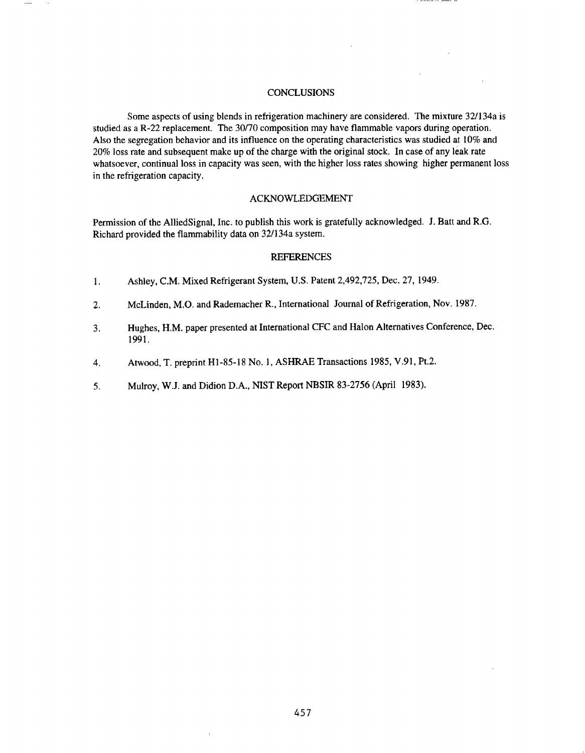# **CONCLUSIONS**

Some aspects of using blends in refrigeration machinery are considered. The mixture 32/l34a is studied as a R-22 replacement. The 30/70 composition may have flammable vapors during operation. Also the segregation behavior and its influence on the operating characteristics was studied at 10% and 20% loss rate and subsequent make up of the charge with the original stock. In case of any leak rate whatsoever, continual loss in capacity was seen, with the higher loss rates showing higher permanent loss in the refrigeration capacity.

# ACKNOWLEDGEMENT

Permission of the AlliedSignal, Inc. to publish this work is gratefully acknowledged. J. Batt and R.G. Richard provided the flammability data on 32/134a system.

### **REFERENCES**

- I. Ashley, C.M. Mixed Refrigerant System, U.S. Patent 2,492,725, Dec. 27, 1949.
- 2. McLinden, M.O. and Rademacher R., International Journal of Refrigeration, Nov. 1987.
- 3. Hughes, H.M. paper presented at International CFC and Halon Alternatives Conference, Dec. 1991.
- 4. Atwood, T. preprint Hl-85-18 No.1, ASHRAE Transactions 1985, V.91, Pt.2.
- 5. Mulroy, W.J. and Didion D.A., NIST Report NBSIR 83-2756 (April 1983).

 $\overline{1}$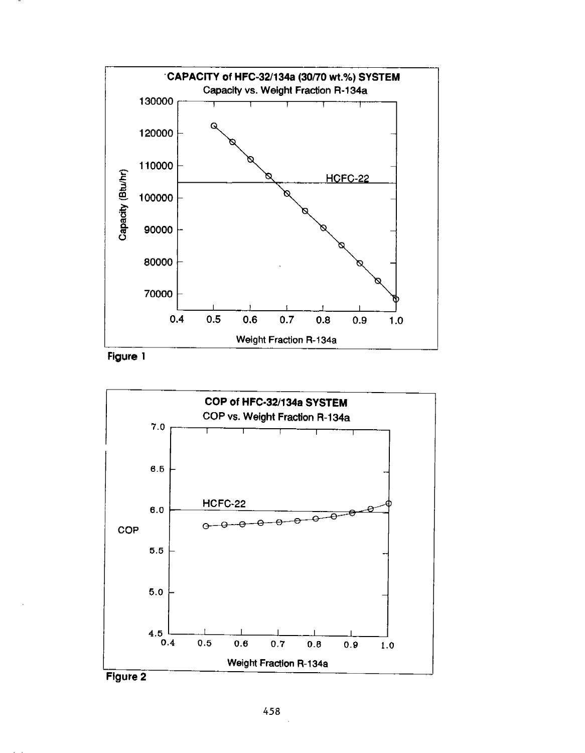

Figure 1



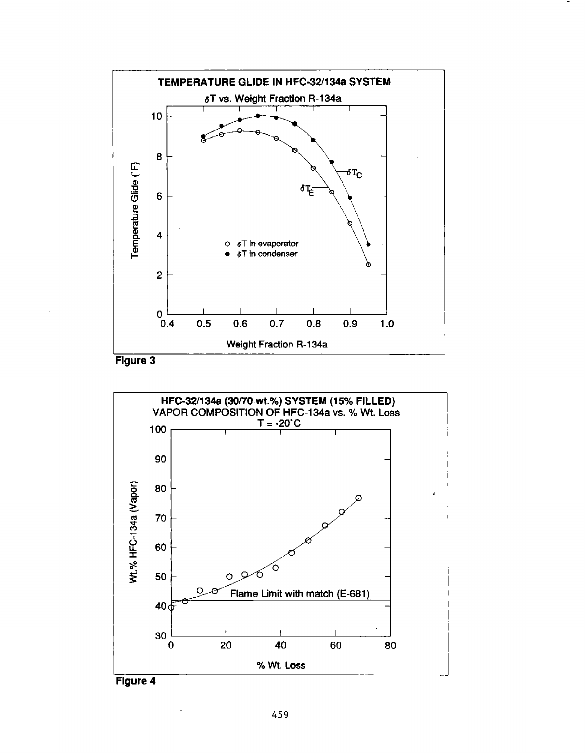





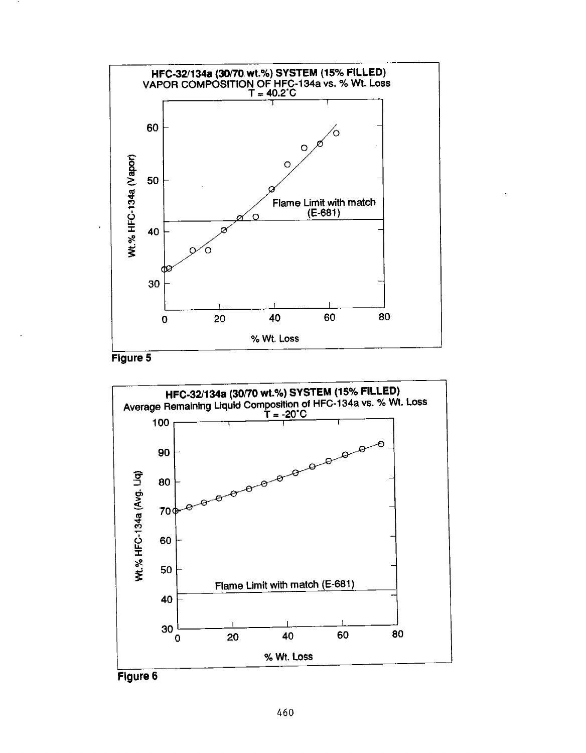

Figure 5

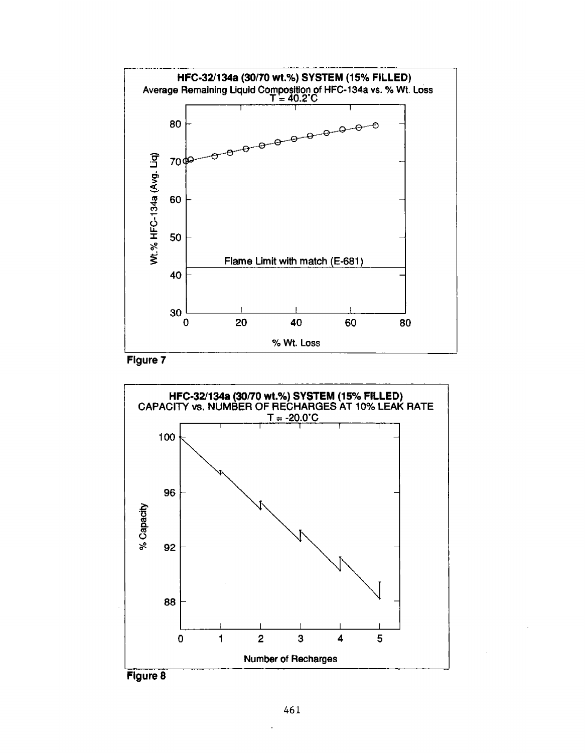



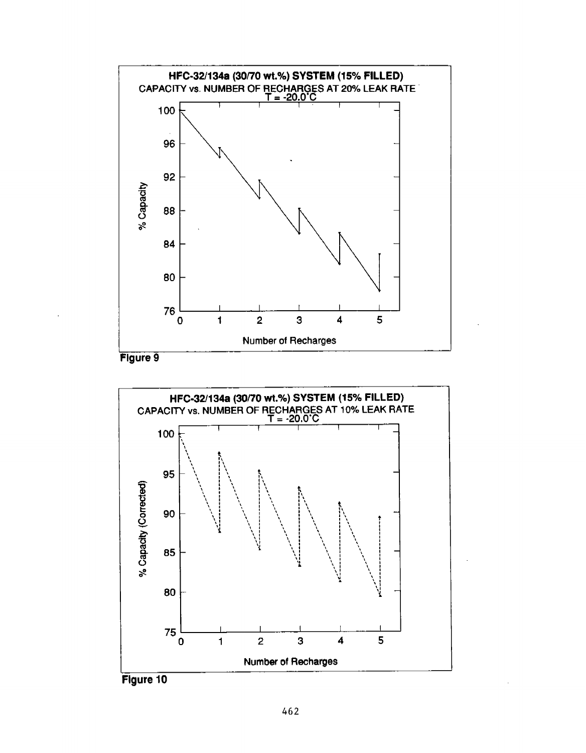

Figure 9



Figure 10